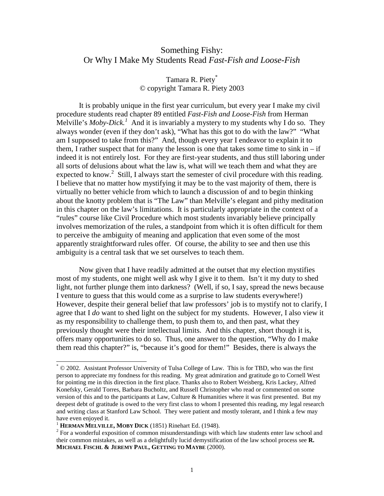# Something Fishy: Or Why I Make My Students Read *Fast-Fish and Loose-Fish*

# Tamara R. Piety\* © copyright Tamara R. Piety 2003

It is probably unique in the first year curriculum, but every year I make my civil procedure students read chapter 89 entitled *Fast-Fish and Loose-Fish* from Herman Melville's *Moby-Dick.<sup>1</sup>* And it is invariably a mystery to my students why I do so. They always wonder (even if they don't ask), "What has this got to do with the law?" "What am I supposed to take from this?" And, though every year I endeavor to explain it to them. I rather suspect that for many the lesson is one that takes some time to sink in  $-$  if indeed it is not entirely lost. For they are first-year students, and thus still laboring under all sorts of delusions about what the law is, what will we teach them and what they are expected to know.<sup>2</sup> Still, I always start the semester of civil procedure with this reading. I believe that no matter how mystifying it may be to the vast majority of them, there is virtually no better vehicle from which to launch a discussion of and to begin thinking about the knotty problem that is "The Law" than Melville's elegant and pithy meditation in this chapter on the law's limitations. It is particularly appropriate in the context of a "rules" course like Civil Procedure which most students invariably believe principally involves memorization of the rules, a standpoint from which it is often difficult for them to perceive the ambiguity of meaning and application that even some of the most apparently straightforward rules offer. Of course, the ability to see and then use this ambiguity is a central task that we set ourselves to teach them.

Now given that I have readily admitted at the outset that my election mystifies most of my students, one might well ask why I give it to them. Isn't it my duty to shed light, not further plunge them into darkness? (Well, if so, I say, spread the news because I venture to guess that this would come as a surprise to law students everywhere!) However, despite their general belief that law professors' job is to mystify not to clarify, I agree that I *do* want to shed light on the subject for my students. However, I also view it as my responsibility to challenge them, to push them to, and then past, what they previously thought were their intellectual limits. And this chapter, short though it is, offers many opportunities to do so. Thus, one answer to the question, "Why do I make them read this chapter?" is, "because it's good for them!" Besides, there is always the

<sup>\*</sup> © 2002. Assistant Professor University of Tulsa College of Law. This is for TBD, who was the first person to appreciate my fondness for this reading. My great admiration and gratitude go to Cornell West for pointing me in this direction in the first place. Thanks also to Robert Weisberg, Kris Lackey, Alfred Konefsky, Gerald Torres, Barbara Bucholtz, and Russell Christopher who read or commented on some version of this and to the participants at Law, Culture & Humanities where it was first presented. But my deepest debt of gratitude is owed to the very first class to whom I presented this reading, my legal research and writing class at Stanford Law School. They were patient and mostly tolerant, and I think a few may have even enjoyed it.

<sup>&</sup>lt;sup>1</sup> **HERMAN MELVILLE, MOBY DICK** (1851) Rinehart Ed. (1948).

 $2$  For a wonderful exposition of common misunderstandings with which law students enter law school and their common mistakes, as well as a delightfully lucid demystification of the law school process see **R. MICHAEL FISCHL & JEREMY PAUL, GETTING TO MAYBE** (2000).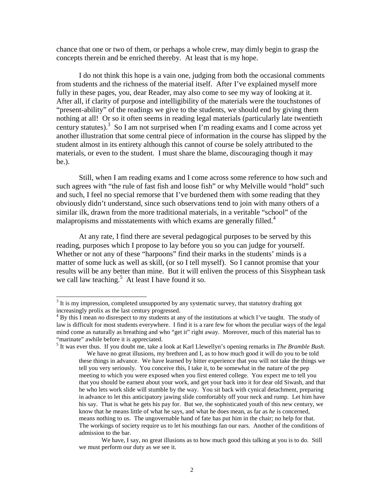chance that one or two of them, or perhaps a whole crew, may dimly begin to grasp the concepts therein and be enriched thereby. At least that is my hope.

I do not think this hope is a vain one, judging from both the occasional comments from students and the richness of the material itself. After I've explained myself more fully in these pages, you, dear Reader, may also come to see my way of looking at it. After all, if clarity of purpose and intelligibility of the materials were the touchstones of "present-ability" of the readings we give to the students, we should end by giving them nothing at all! Or so it often seems in reading legal materials (particularly late twentieth century statutes).<sup>3</sup> So I am not surprised when I'm reading exams and I come across yet another illustration that some central piece of information in the course has slipped by the student almost in its entirety although this cannot of course be solely attributed to the materials, or even to the student. I must share the blame, discouraging though it may be.).

Still, when I am reading exams and I come across some reference to how such and such agrees with "the rule of fast fish and loose fish" or why Melville would "hold" such and such, I feel no special remorse that I've burdened them with some reading that they obviously didn't understand, since such observations tend to join with many others of a similar ilk, drawn from the more traditional materials, in a veritable "school" of the malapropisms and misstatements with which exams are generally filled.<sup>4</sup>

At any rate, I find there are several pedagogical purposes to be served by this reading, purposes which I propose to lay before you so you can judge for yourself. Whether or not any of these "harpoons" find their marks in the students' minds is a matter of some luck as well as skill, (or so I tell myself). So I cannot promise that your results will be any better than mine. But it will enliven the process of this Sisyphean task we call law teaching.<sup>5</sup> At least I have found it so.

5 It was ever thus. If you doubt me, take a look at Karl Llewellyn's opening remarks in *The Bramble Bush*. We have no great illusions, my brethren and I, as to how much good it will do you to be told these things in advance. We have learned by bitter experience that you will not take the things we tell you very seriously. You conceive this, I take it, to be somewhat in the nature of the pep meeting to which you were exposed when you first entered college. You expect me to tell you that you should be earnest about your work, and get your back into it for dear old Siwash, and that he who lets work slide will stumble by the way. You sit back with cynical detachment, preparing in advance to let this anticipatory jawing slide comfortably off your neck and rump. Let him have his say. That is what he gets his pay for. But we, the sophisticated youth of this new century, we know that he means little of what he says, and what he does mean, as far as *he* is concerned, means nothing to us. The ungovernable hand of fate has put him in the chair; no help for that. The workings of society require us to let his mouthings fan our ears. Another of the conditions of admission to the bar.

We have, I say, no great illusions as to how much good this talking at you is to do. Still we must perform our duty as we see it.

 $3$  It is my impression, completed unsupported by any systematic survey, that statutory drafting got increasingly prolix as the last century progressed.

<sup>&</sup>lt;sup>4</sup> By this I mean *no* disrespect to my students at any of the institutions at which I've taught. The study of law is difficult for most students everywhere. I find it is a rare few for whom the peculiar ways of the legal mind come as naturally as breathing and who "get it" right away. Moreover, much of this material has to "marinate" awhile before it is appreciated.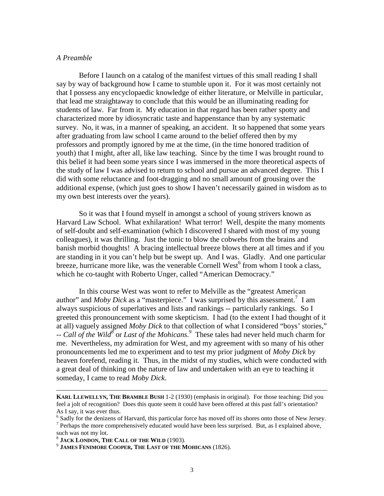### *A Preamble*

Before I launch on a catalog of the manifest virtues of this small reading I shall say by way of background how I came to stumble upon it. For it was most certainly not that I possess any encyclopaedic knowledge of either literature, or Melville in particular, that lead me straightaway to conclude that this would be an illuminating reading for students of law. Far from it. My education in that regard has been rather spotty and characterized more by idiosyncratic taste and happenstance than by any systematic survey. No, it was, in a manner of speaking, an accident. It so happened that some years after graduating from law school I came around to the belief offered then by my professors and promptly ignored by me at the time, (in the time honored tradition of youth) that I might, after all, like law teaching. Since by the time I was brought round to this belief it had been some years since I was immersed in the more theoretical aspects of the study of law I was advised to return to school and pursue an advanced degree. This I did with some reluctance and foot-dragging and no small amount of grousing over the additional expense, (which just goes to show I haven't necessarily gained in wisdom as to my own best interests over the years).

So it was that I found myself in amongst a school of young strivers known as Harvard Law School. What exhilaration! What terror! Well, despite the many moments of self-doubt and self-examination (which I discovered I shared with most of my young colleagues), it was thrilling. Just the tonic to blow the cobwebs from the brains and banish morbid thoughts! A bracing intellectual breeze blows there at all times and if you are standing in it you can't help but be swept up. And I was. Gladly. And one particular breeze, hurricane more like, was the venerable Cornell West<sup>6</sup> from whom I took a class, which he co-taught with Roberto Unger, called "American Democracy."

In this course West was wont to refer to Melville as the "greatest American author" and *Moby Dick* as a "masterpiece." I was surprised by this assessment.<sup>7</sup> I am always suspicious of superlatives and lists and rankings -- particularly rankings. So I greeted this pronouncement with some skepticism. I had (to the extent I had thought of it at all) vaguely assigned *Moby Dick* to that collection of what I considered "boys' stories," -- *Call of the Wild*<sup>8</sup> or *Last of the Mohicans*.<sup>9</sup> These tales had never held much charm for me. Nevertheless, my admiration for West, and my agreement with so many of his other pronouncements led me to experiment and to test my prior judgment of *Moby Dick* by heaven forefend, reading it. Thus, in the midst of my studies, which were conducted with a great deal of thinking on the nature of law and undertaken with an eye to teaching it someday, I came to read *Moby Dick*.

**KARL LLEWELLYN, THE BRAMBLE BUSH** 1-2 (1930) (emphasis in original). For those teaching: Did you feel a jolt of recognition? Does this quote seem it could have been offered at this past fall's orientation? As I say, it was ever thus.

<sup>&</sup>lt;sup>6</sup> Sadly for the denizens of Harvard, this particular force has moved off its shores onto those of New Jersey.

 $7$  Perhaps the more comprehensively educated would have been less surprised. But, as I explained above, such was not my lot.<br><sup>8</sup> JACK LONDON, THE CALL OF THE WILD (1903).

<sup>&</sup>lt;sup>9</sup> JAMES FENIMORE COOPER, THE LAST OF THE MOHICANS (1826).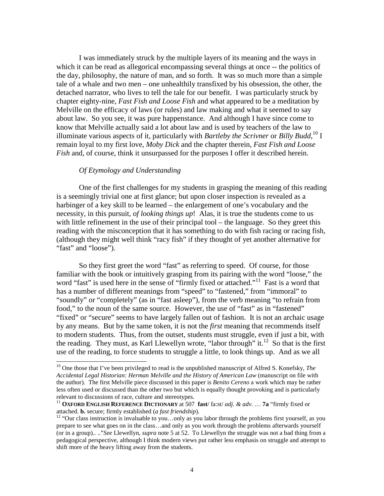I was immediately struck by the multiple layers of its meaning and the ways in which it can be read as allegorical encompassing several things at once -- the politics of the day, philosophy, the nature of man, and so forth. It was so much more than a simple tale of a whale and two men – one unhealthily transfixed by his obsession, the other, the detached narrator, who lives to tell the tale for our benefit. I was particularly struck by chapter eighty-nine, *Fast Fish and Loose Fish* and what appeared to be a meditation by Melville on the efficacy of laws (or rules) and law making and what it seemed to say about law. So you see, it was pure happenstance. And although I have since come to know that Melville actually said a lot about law and is used by teachers of the law to illuminate various aspects of it, particularly with *Bartleby the Scrivner* or *Billy Budd*, 10 I remain loyal to my first love, *Moby Dick* and the chapter therein, *Fast Fish and Loose Fish* and, of course, think it unsurpassed for the purposes I offer it described herein.

## *Of Etymology and Understanding*

One of the first challenges for my students in grasping the meaning of this reading is a seemingly trivial one at first glance; but upon closer inspection is revealed as a harbinger of a key skill to be learned – the enlargement of one's vocabulary and the necessity, in this pursuit, *of looking things up*! Alas, it is true the students come to us with little refinement in the use of their principal tool – the language. So they greet this reading with the misconception that it has something to do with fish racing or racing fish, (although they might well think "racy fish" if they thought of yet another alternative for "fast" and "loose").

So they first greet the word "fast" as referring to speed. Of course, for those familiar with the book or intuitively grasping from its pairing with the word "loose," the word "fast" is used here in the sense of "firmly fixed or attached."<sup>11</sup> Fast is a word that has a number of different meanings from "speed" to "fastened," from "immoral" to "soundly" or "completely" (as in "fast asleep"), from the verb meaning "to refrain from food," to the noun of the same source. However, the use of "fast" as in "fastened" "fixed" or "secure" seems to have largely fallen out of fashion. It is not an archaic usage by any means. But by the same token, it is not the *first* meaning that recommends itself to modern students. Thus, from the outset, students must struggle, even if just a bit, with the reading. They must, as Karl Llewellyn wrote, "labor through" it.<sup>12</sup> So that is the first use of the reading, to force students to struggle a little, to look things up. And as we all

<sup>&</sup>lt;sup>10</sup> One those that I've been privileged to read is the unpublished manuscript of Alfred S. Konefsky, *The Accidental Legal Historian: Herman Melville and the History of American Law* (manuscript on file with the author). The first Melville piece discussed in this paper is *Benito Cereno* a work which may be rather less often used or discussed than the other two but which is equally thought provoking and is particularly relevant to discussions of race, culture and stereotypes.

<sup>11</sup> **OXFORD ENGLISH REFERENCE DICTIONARY** at 507 **fast**/ fa:st/ *adj. & adv.* … **7a** "firmly fixed or attached. **b.** secure; firmly established (*a fast friendship*).<br><sup>12</sup> "Our class instruction is invaluable to you...only as you labor through the problems first yourself, as you

prepare to see what goes on in the class…and only as you work through the problems afterwards yourself (or in a group).. .."*See* Llewellyn, *supra* note 5 at 52. To Llewellyn the struggle was not a bad thing from a pedagogical perspective, although I think modern views put rather less emphasis on struggle and attempt to shift more of the heavy lifting away from the students.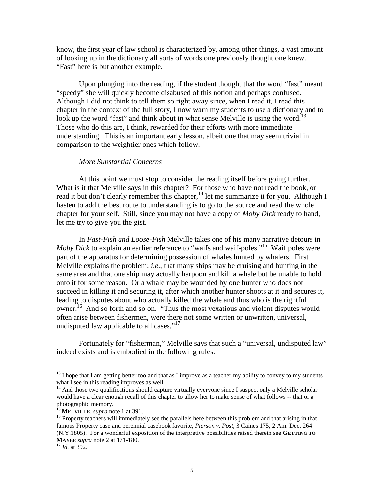know, the first year of law school is characterized by, among other things, a vast amount of looking up in the dictionary all sorts of words one previously thought one knew. "Fast" here is but another example.

Upon plunging into the reading, if the student thought that the word "fast" meant "speedy" she will quickly become disabused of this notion and perhaps confused. Although I did not think to tell them so right away since, when I read it, I read this chapter in the context of the full story, I now warn my students to use a dictionary and to look up the word "fast" and think about in what sense Melville is using the word.<sup>13</sup> Those who do this are, I think, rewarded for their efforts with more immediate understanding. This is an important early lesson, albeit one that may seem trivial in comparison to the weightier ones which follow.

# *More Substantial Concerns*

At this point we must stop to consider the reading itself before going further. What is it that Melville says in this chapter? For those who have not read the book, or read it but don't clearly remember this chapter,<sup>14</sup> let me summarize it for you. Although I hasten to add the best route to understanding is to go to the source and read the whole chapter for your self. Still, since you may not have a copy of *Moby Dick* ready to hand, let me try to give you the gist.

In *Fast-Fish and Loose-Fish* Melville takes one of his many narrative detours in *Moby Dick* to explain an earlier reference to "waifs and waif-poles."15 Waif poles were part of the apparatus for determining possession of whales hunted by whalers. First Melville explains the problem; *i.e*., that many ships may be cruising and hunting in the same area and that one ship may actually harpoon and kill a whale but be unable to hold onto it for some reason. Or a whale may be wounded by one hunter who does not succeed in killing it and securing it, after which another hunter shoots at it and secures it, leading to disputes about who actually killed the whale and thus who is the rightful owner.16 And so forth and so on. "Thus the most vexatious and violent disputes would often arise between fishermen, were there not some written or unwritten, universal, undisputed law applicable to all cases."<sup>17</sup>

Fortunately for "fisherman," Melville says that such a "universal, undisputed law" indeed exists and is embodied in the following rules.

<sup>&</sup>lt;sup>13</sup> I hope that I am getting better too and that as I improve as a teacher my ability to convey to my students what I see in this reading improves as well.

<sup>&</sup>lt;sup>14</sup> And those two qualifications should capture virtually everyone since I suspect only a Melville scholar would have a clear enough recall of this chapter to allow her to make sense of what follows -- that or a photographic memory.<br><sup>15</sup> MELVILLE, *supra* note 1 at 391.

<sup>&</sup>lt;sup>16</sup> Property teachers will immediately see the parallels here between this problem and that arising in that famous Property case and perennial casebook favorite, *Pierson v. Post*, 3 Caines 175, 2 Am. Dec. 264 (N.Y.1805). For a wonderful exposition of the interpretive possibilities raised therein see **GETTING TO MAYBE** *supra* note 2 at 171-180. <sup>17</sup> *Id.* at 392.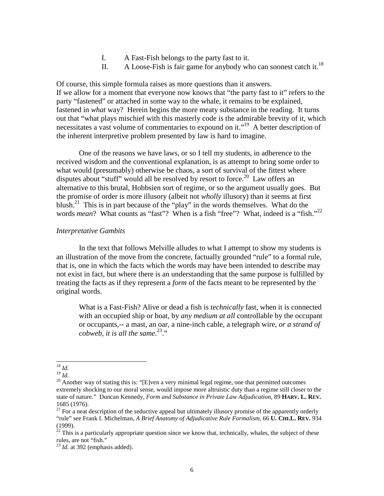- I. A Fast-Fish belongs to the party fast to it.
- II. A Loose-Fish is fair game for anybody who can soonest catch it.<sup>18</sup>

Of course, this simple formula raises as more questions than it answers. If we allow for a moment that everyone now knows that "the party fast to it" refers to the party "fastened" or attached in some way to the whale, it remains to be explained, fastened in *what* way? Herein begins the more meaty substance in the reading. It turns out that "what plays mischief with this masterly code is the admirable brevity of it, which necessitates a vast volume of commentaries to expound on it."19 A better description of the inherent interpretive problem presented by law is hard to imagine.

One of the reasons we have laws, or so I tell my students, in adherence to the received wisdom and the conventional explanation, is as attempt to bring some order to what would (presumably) otherwise be chaos, a sort of survival of the fittest where disputes about "stuff" would all be resolved by resort to force.<sup>20</sup> Law offers an alternative to this brutal, Hobbsien sort of regime, or so the argument usually goes. But the promise of order is more illusory (albeit not *wholly* illusory) than it seems at first blush.<sup>21</sup> This is in part because of the "play" in the words themselves. What do the words *mean*? What counts as "fast"? When is a fish "free"? What, indeed is a "fish."<sup>22</sup>

## *Interpretative Gambits*

In the text that follows Melville alludes to what I attempt to show my students is an illustration of the move from the concrete, factually grounded "rule" to a formal rule, that is, one in which the facts which the words may have been intended to describe may not exist in fact, but where there is an understanding that the same purpose is fulfilled by treating the facts as if they represent a *form* of the facts meant to be represented by the original words.

What is a Fast-Fish? Alive or dead a fish is *technically* fast, when it is connected with an occupied ship or boat, by *any medium at all* controllable by the occupant or occupants,-- a mast, an oar, a nine-inch cable, a telegraph wire, *or a strand of cobweb, it is all the same*. 23."

<sup>18</sup> *Id.*

<sup>&</sup>lt;sup>20</sup> Another way of stating this is: "[E]ven a very minimal legal regime, one that permitted outcomes extremely shocking to our moral sense, would impose more altruistic duty than a regime still closer to the state of nature." Duncan Kennedy, *Form and Substance in Private Law Adjudication*, 89 **HARV. L. REV.**  1685 (1976).

 $21$  For a neat description of the seductive appeal but ultimately illusory promise of the apparently orderly "rule" see Frank I. Michelman, *A Brief Anatomy of Adjudicative Rule Formalism*, 66 **U. CHI.L. REV.** 934 (1999).

 $22$  This is a particularly appropriate question since we know that, technically, whales, the subject of these rules, are not "fish."<br><sup>23</sup> *Id.* at 392 (emphasis added).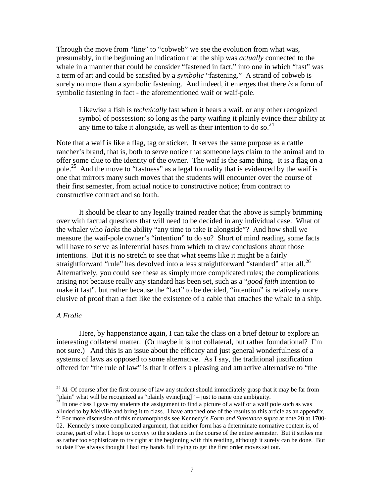Through the move from "line" to "cobweb" we see the evolution from what was, presumably, in the beginning an indication that the ship was *actually* connected to the whale in a manner that could be consider "fastened in fact," into one in which "fast" was a term of art and could be satisfied by a *symbolic* "fastening." A strand of cobweb is surely no more than a symbolic fastening. And indeed, it emerges that there *is* a form of symbolic fastening in fact - the aforementioned waif or waif-pole.

Likewise a fish is *technically* fast when it bears a waif, or any other recognized symbol of possession; so long as the party waifing it plainly evince their ability at any time to take it alongside, as well as their intention to do so.  $24$ 

Note that a waif is like a flag, tag or sticker. It serves the same purpose as a cattle rancher's brand, that is, both to serve notice that someone lays claim to the animal and to offer some clue to the identity of the owner. The waif is the same thing. It is a flag on a pole.<sup>25</sup> And the move to "fastness" as a legal formality that is evidenced by the waif is one that mirrors many such moves that the students will encounter over the course of their first semester, from actual notice to constructive notice; from contract to constructive contract and so forth.

It should be clear to any legally trained reader that the above is simply brimming over with factual questions that will need to be decided in any individual case. What of the whaler who *lacks* the ability "any time to take it alongside"? And how shall we measure the waif-pole owner's "intention" to do so? Short of mind reading, some facts will have to serve as inferential bases from which to draw conclusions about those intentions. But it is no stretch to see that what seems like it might be a fairly straightforward "rule" has devolved into a less straightforward "standard" after all.<sup>26</sup> Alternatively, you could see these as simply more complicated rules; the complications arising not because really any standard has been set, such as a "*good faith* intention to make it fast", but rather because the "fact" to be decided, "intention" is relatively more elusive of proof than a fact like the existence of a cable that attaches the whale to a ship.

#### *A Frolic*

Here, by happenstance again, I can take the class on a brief detour to explore an interesting collateral matter. (Or maybe it is not collateral, but rather foundational? I'm not sure.) And this is an issue about the efficacy and just general wonderfulness of a systems of laws as opposed to some alternative. As I say, the traditional justification offered for "the rule of law" is that it offers a pleasing and attractive alternative to "the

<sup>&</sup>lt;sup>24</sup> *Id.* Of course after the first course of law any student should immediately grasp that it may be far from "plain" what will be recognized as "plainly evinc[ing]" – just to name one ambiguity.<br><sup>25</sup> In one class I gave my students the assignment to find a picture of a waif or a waif pole such as was

alluded to by Melville and bring it to class. I have attached one of the results to this article as an appendix. <sup>26</sup> For more discussion of this metamorphosis see Kennedy's *Form and Substance supra* at note 20 at 1700-

<sup>02.</sup> Kennedy's more complicated argument, that neither form has a determinate normative content is, of course, part of what I hope to convey to the students in the course of the entire semester. But it strikes me as rather too sophisticate to try right at the beginning with this reading, although it surely can be done. But to date I've always thought I had my hands full trying to get the first order moves set out.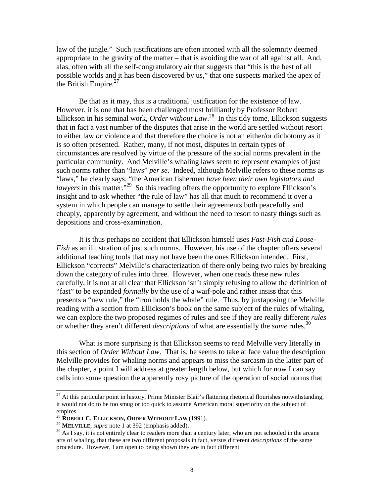law of the jungle." Such justifications are often intoned with all the solemnity deemed appropriate to the gravity of the matter – that is avoiding the war of all against all. And, alas, often with all the self-congratulatory air that suggests that "this is the best of all possible worlds and it has been discovered by us," that one suspects marked the apex of the British Empire. $^{27}$ 

Be that as it may, this is a traditional justification for the existence of law. However, it is one that has been challenged most brilliantly by Professor Robert Ellickson in his seminal work, *Order without Law*. 28 In this tidy tome, Ellickson suggests that in fact a vast number of the disputes that arise in the world are settled without resort to either law *or* violence and that therefore the choice is not an either/or dichotomy as it is so often presented. Rather, many, if not most, disputes in certain types of circumstances are resolved by virtue of the pressure of the social norms prevalent in the particular community. And Melville's whaling laws seem to represent examples of just such norms rather than "laws" *per se*. Indeed, although Melville refers to these norms as "laws," he clearly says, "the American fishermen *have been their own legislators and lawyers* in this matter.<sup>29</sup> So this reading offers the opportunity to explore Ellickson's insight and to ask whether "the rule of law" has all that much to recommend it over a system in which people can manage to settle their agreements both peacefully and cheaply, apparently by agreement, and without the need to resort to nasty things such as depositions and cross-examination.

It is thus perhaps no accident that Ellickson himself uses *Fast-Fish and Loose-Fish* as an illustration of just such norms. However, his use of the chapter offers several additional teaching tools that may not have been the ones Ellickson intended. First, Ellickson "corrects" Melville's characterization of there only being two rules by breaking down the category of rules into three. However, when one reads these new rules carefully, it is not at all clear that Ellickson isn't simply refusing to allow the definition of "fast" to be expanded *formally* by the use of a waif-pole and rather insist that this presents a "new rule," the "iron holds the whale" rule. Thus, by juxtaposing the Melville reading with a section from Ellickson's book on the same subject of the rules of whaling, we can explore the two proposed regimes of rules and see if they are really different *rules* or whether they aren't different *descriptions* of what are essentially the *same* rules.<sup>30</sup>

What is more surprising is that Ellickson seems to read Melville very literally in this section of *Order Without Law*. That is, he seems to take at face value the description Melville provides for whaling norms and appears to miss the sarcasm in the latter part of the chapter, a point I will address at greater length below, but which for now I can say calls into some question the apparently rosy picture of the operation of social norms that

 $^{27}$  At this particular point in history, Prime Minister Blair's flattering rhetorical flourishes notwithstanding, it would not do to be too smug or too quick to assume American moral superiority on the subject of empires.

<sup>&</sup>lt;sup>28</sup> **ROBERT C. ELLICKSON, ORDER WITHOUT LAW** (1991).<br><sup>29</sup> **MELVILLE**, *supra* note 1 at 392 (emphasis added).

<sup>&</sup>lt;sup>30</sup> As I say, it is not entirely clear to readers more than a century later, who are not schooled in the arcane arts of whaling, that these are two different proposals in fact, versus different *descriptions* of the same procedure. However, I am open to being shown they are in fact different.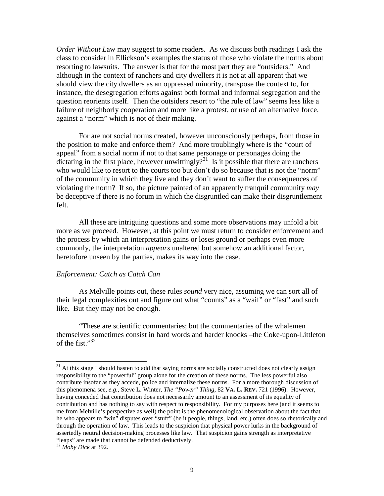*Order Without L*aw may suggest to some readers. As we discuss both readings I ask the class to consider in Ellickson's examples the status of those who violate the norms about resorting to lawsuits. The answer is that for the most part they are "outsiders." And although in the context of ranchers and city dwellers it is not at all apparent that we should view the city dwellers as an oppressed minority, transpose the context to, for instance, the desegregation efforts against both formal and informal segregation and the question reorients itself. Then the outsiders resort to "the rule of law" seems less like a failure of neighborly cooperation and more like a protest, or use of an alternative force, against a "norm" which is not of their making.

For are not social norms created, however unconsciously perhaps, from those in the position to make and enforce them? And more troublingly where is the "court of appeal" from a social norm if not to that same personage or personages doing the dictating in the first place, however unwittingly?<sup>31</sup> Is it possible that there are ranchers who would like to resort to the courts too but don't do so because that is not the "norm" of the community in which they live and they don't want to suffer the consequences of violating the norm? If so, the picture painted of an apparently tranquil community *may* be deceptive if there is no forum in which the disgruntled can make their disgruntlement felt.

All these are intriguing questions and some more observations may unfold a bit more as we proceed. However, at this point we must return to consider enforcement and the process by which an interpretation gains or loses ground or perhaps even more commonly, the interpretation *appears* unaltered but somehow an additional factor, heretofore unseen by the parties, makes its way into the case.

#### *Enforcement: Catch as Catch Can*

As Melville points out, these rules *sound* very nice, assuming we can sort all of their legal complexities out and figure out what "counts" as a "waif" or "fast" and such like. But they may not be enough.

"These are scientific commentaries; but the commentaries of the whalemen themselves sometimes consist in hard words and harder knocks –the Coke-upon-Littleton of the fist." $32$ 

 $31$  At this stage I should hasten to add that saying norms are socially constructed does not clearly assign responsibility to the "powerful" group alone for the creation of these norms. The less powerful also contribute insofar as they accede, police and internalize these norms. For a more thorough discussion of this phenomena see, *e.g.,* Steve L. Winter, *The "Power" Thing*, 82 **VA. L. REV.** 721 (1996). However, having conceded that contribution does not necessarily amount to an assessment of its equality of contribution and has nothing to say with respect to responsibility. For my purposes here (and it seems to me from Melville's perspective as well) the point is the phenomenological observation about the fact that he who appears to "win" disputes over "stuff" (be it people, things, land, etc.) often does so rhetorically and through the operation of law. This leads to the suspicion that physical power lurks in the background of assertedly neutral decision-making processes like law. That suspicion gains strength as interpretative "leaps" are made that cannot be defended deductively.

<sup>32</sup> *Moby Dick* at 392*.*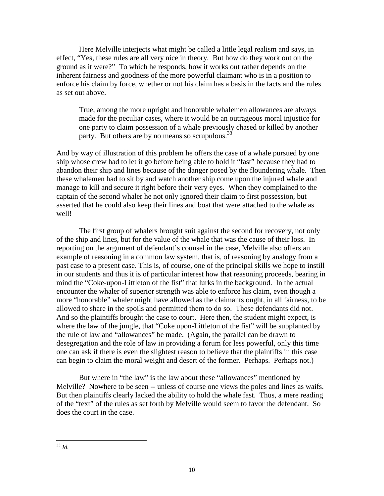Here Melville interjects what might be called a little legal realism and says, in effect, "Yes, these rules are all very nice in theory. But how do they work out on the ground as it were?" To which he responds, how it works out rather depends on the inherent fairness and goodness of the more powerful claimant who is in a position to enforce his claim by force, whether or not his claim has a basis in the facts and the rules as set out above.

True, among the more upright and honorable whalemen allowances are always made for the peculiar cases, where it would be an outrageous moral injustice for one party to claim possession of a whale previously chased or killed by another party. But others are by no means so scrupulous.  $33$ 

And by way of illustration of this problem he offers the case of a whale pursued by one ship whose crew had to let it go before being able to hold it "fast" because they had to abandon their ship and lines because of the danger posed by the floundering whale. Then these whalemen had to sit by and watch another ship come upon the injured whale and manage to kill and secure it right before their very eyes. When they complained to the captain of the second whaler he not only ignored their claim to first possession, but asserted that he could also keep their lines and boat that were attached to the whale as well!

The first group of whalers brought suit against the second for recovery, not only of the ship and lines, but for the value of the whale that was the cause of their loss. In reporting on the argument of defendant's counsel in the case, Melville also offers an example of reasoning in a common law system, that is, of reasoning by analogy from a past case to a present case. This is, of course, one of the principal skills we hope to instill in our students and thus it is of particular interest how that reasoning proceeds, bearing in mind the "Coke-upon-Littleton of the fist" that lurks in the background. In the actual encounter the whaler of superior strength was able to enforce his claim, even though a more "honorable" whaler might have allowed as the claimants ought, in all fairness, to be allowed to share in the spoils and permitted them to do so. These defendants did not. And so the plaintiffs brought the case to court. Here then, the student might expect, is where the law of the jungle, that "Coke upon-Littleton of the fist" will be supplanted by the rule of law and "allowances" be made. (Again, the parallel can be drawn to desegregation and the role of law in providing a forum for less powerful, only this time one can ask if there is even the slightest reason to believe that the plaintiffs in this case can begin to claim the moral weight and desert of the former. Perhaps. Perhaps not.)

But where in "the law" is the law about these "allowances" mentioned by Melville? Nowhere to be seen -- unless of course one views the poles and lines as waifs. But then plaintiffs clearly lacked the ability to hold the whale fast. Thus, a mere reading of the "text" of the rules as set forth by Melville would seem to favor the defendant. So does the court in the case.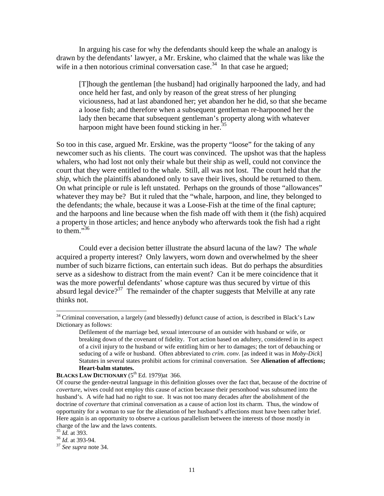In arguing his case for why the defendants should keep the whale an analogy is drawn by the defendants' lawyer, a Mr. Erskine, who claimed that the whale was like the wife in a then notorious criminal conversation case.<sup>34</sup> In that case he argued;

[T]hough the gentleman [the husband] had originally harpooned the lady, and had once held her fast, and only by reason of the great stress of her plunging viciousness, had at last abandoned her; yet abandon her he did, so that she became a loose fish; and therefore when a subsequent gentleman re-harpooned her the lady then became that subsequent gentleman's property along with whatever harpoon might have been found sticking in her.<sup>35</sup>

So too in this case, argued Mr. Erskine, was the property "loose" for the taking of any newcomer such as his clients. The court was convinced. The upshot was that the hapless whalers, who had lost not only their whale but their ship as well, could not convince the court that they were entitled to the whale. Still, all was not lost. The court held that *the ship*, which the plaintiffs abandoned only to save their lives, should be returned to them. On what principle or rule is left unstated. Perhaps on the grounds of those "allowances" whatever they may be? But it ruled that the "whale, harpoon, and line, they belonged to the defendants; the whale, because it was a Loose-Fish at the time of the final capture; and the harpoons and line because when the fish made off with them it (the fish) acquired a property in those articles; and hence anybody who afterwards took the fish had a right to them. $\frac{1}{36}$ 

Could ever a decision better illustrate the absurd lacuna of the law? The *whale* acquired a property interest? Only lawyers, worn down and overwhelmed by the sheer number of such bizarre fictions, can entertain such ideas. But do perhaps the absurdities serve as a sideshow to distract from the main event? Can it be mere coincidence that it was the more powerful defendants' whose capture was thus secured by virtue of this absurd legal device?<sup>37</sup> The remainder of the chapter suggests that Melville at any rate thinks not.

<sup>&</sup>lt;sup>34</sup> Criminal conversation, a largely (and blessedly) defunct cause of action, is described in Black's Law Dictionary as follows:

Defilement of the marriage bed, sexual intercourse of an outsider with husband or wife, or breaking down of the covenant of fidelity. Tort action based on adultery, considered in its aspect of a civil injury to the husband or wife entitling him or her to damages; the tort of debauching or seducing of a wife or husband. Often abbreviated to *crim. conv.* [as indeed it was in *Moby-Dick*] Statutes in several states prohibit actions for criminal conversation. See **Alienation of affections; Heart-balm statutes.**

**BLACKS LAW DICTIONARY** (5<sup>th</sup> Ed. 1979)at 366.

Of course the gender-neutral language in this definition glosses over the fact that, because of the doctrine of *coverture*, wives could not employ this cause of action because their personhood was subsumed into the husband's. A wife had had no right to sue. It was not too many decades after the abolishment of the doctrine of *coverture* that criminal conversation as a cause of action lost its charm. Thus, the window of opportunity for a woman to sue for the alienation of her husband's affections must have been rather brief. Here again is an opportunity to observe a curious parallelism between the interests of those mostly in charge of the law and the laws contents.  $\frac{35}{1}$  *Id.* at 393.

<sup>35</sup> *Id.* at 393. <sup>36</sup> *Id.* at 393-94. <sup>37</sup> *See supra* note 34.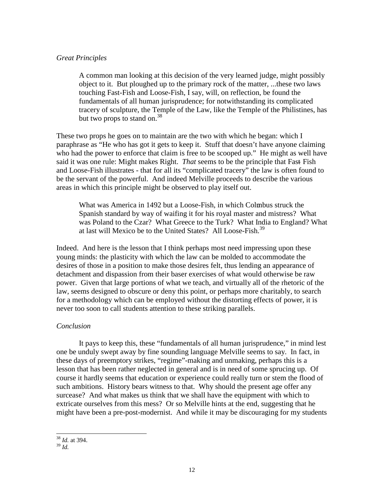# *Great Principles*

A common man looking at this decision of the very learned judge, might possibly object to it. But ploughed up to the primary rock of the matter, ...these two laws touching Fast-Fish and Loose-Fish, I say, will, on reflection, be found the fundamentals of all human jurisprudence; for notwithstanding its complicated tracery of sculpture, the Temple of the Law, like the Temple of the Philistines, has but two props to stand on. $38$ 

These two props he goes on to maintain are the two with which he began: which I paraphrase as "He who has got it gets to keep it. Stuff that doesn't have anyone claiming who had the power to enforce that claim is free to be scooped up." He might as well have said it was one rule: Might makes Right. *That* seems to be the principle that Fast- Fish and Loose-Fish illustrates - that for all its "complicated tracery" the law is often found to be the servant of the powerful. And indeed Melville proceeds to describe the various areas in which this principle might be observed to play itself out.

What was America in 1492 but a Loose-Fish, in which Colmbus struck the Spanish standard by way of waifing it for his royal master and mistress? What was Poland to the Czar? What Greece to the Turk? What India to England? What at last will Mexico be to the United States? All Loose-Fish.<sup>39</sup>

Indeed. And here is the lesson that I think perhaps most need impressing upon these young minds: the plasticity with which the law can be molded to accommodate the desires of those in a position to make those desires felt, thus lending an appearance of detachment and dispassion from their baser exercises of what would otherwise be raw power. Given that large portions of what we teach, and virtually all of the rhetoric of the law, seems designed to obscure or deny this point, or perhaps more charitably, to search for a methodology which can be employed without the distorting effects of power, it is never too soon to call students attention to these striking parallels.

# *Conclusion*

It pays to keep this, these "fundamentals of all human jurisprudence," in mind lest one be unduly swept away by fine sounding language Melville seems to say. In fact, in these days of preemptory strikes, "regime"-making and unmaking, perhaps this is a lesson that has been rather neglected in general and is in need of some sprucing up. Of course it hardly seems that education or experience could really turn or stem the flood of such ambitions. History bears witness to that. Why should the present age offer any surcease? And what makes us think that we shall have the equipment with which to extricate ourselves from this mess? Or so Melville hints at the end, suggesting that he might have been a pre-post-modernist. And while it may be discouraging for my students

<sup>38</sup> *Id.* at 394.

<sup>39</sup> *Id.*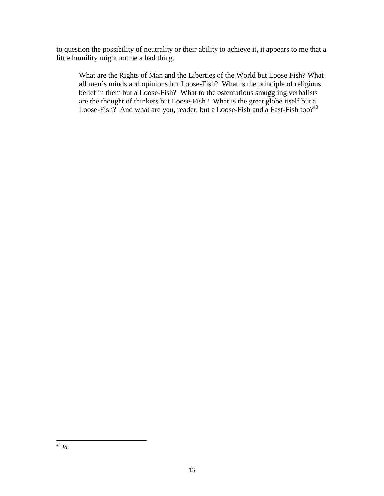to question the possibility of neutrality or their ability to achieve it, it appears to me that a little humility might not be a bad thing.

What are the Rights of Man and the Liberties of the World but Loose Fish? What all men's minds and opinions but Loose-Fish? What is the principle of religious belief in them but a Loose-Fish? What to the ostentatious smuggling verbalists are the thought of thinkers but Loose-Fish? What is the great globe itself but a Loose-Fish? And what are you, reader, but a Loose-Fish and a Fast-Fish too?<sup>40</sup>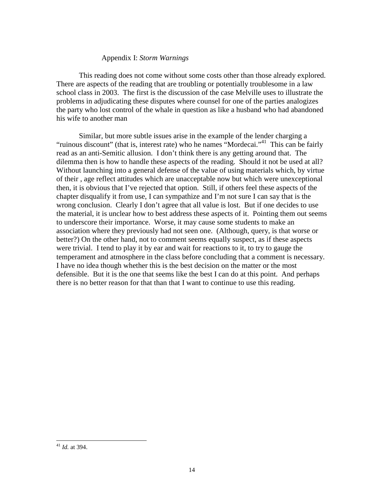## Appendix I: *Storm Warnings*

This reading does not come without some costs other than those already explored. There are aspects of the reading that are troubling or potentially troublesome in a law school class in 2003. The first is the discussion of the case Melville uses to illustrate the problems in adjudicating these disputes where counsel for one of the parties analogizes the party who lost control of the whale in question as like a husband who had abandoned his wife to another man

Similar, but more subtle issues arise in the example of the lender charging a "ruinous discount" (that is, interest rate) who he names "Mordecai."41 This can be fairly read as an anti-Semitic allusion. I don't think there is any getting around that. The dilemma then is how to handle these aspects of the reading. Should it not be used at all? Without launching into a general defense of the value of using materials which, by virtue of their , age reflect attitudes which are unacceptable now but which were unexceptional then, it is obvious that I've rejected that option. Still, if others feel these aspects of the chapter disqualify it from use, I can sympathize and I'm not sure I can say that is the wrong conclusion. Clearly I don't agree that all value is lost. But if one decides to use the material, it is unclear how to best address these aspects of it. Pointing them out seems to underscore their importance. Worse, it may cause some students to make an association where they previously had not seen one. (Although, query, is that worse or better?) On the other hand, not to comment seems equally suspect, as if these aspects were trivial. I tend to play it by ear and wait for reactions to it, to try to gauge the temperament and atmosphere in the class before concluding that a comment is necessary. I have no idea though whether this is the best decision on the matter or the most defensible. But it is the one that seems like the best I can do at this point. And perhaps there is no better reason for that than that I want to continue to use this reading.

<sup>41</sup> *Id.* at 394.